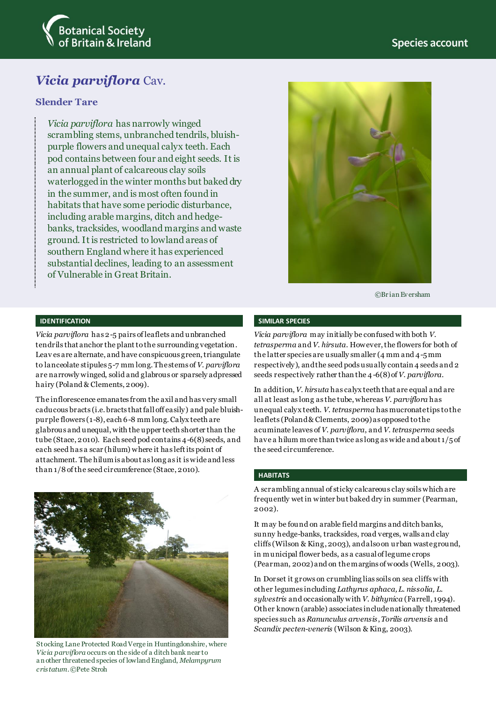

# *Vicia parviflora* Cav.

## **Slender Tare**

*Vicia parviflora* has narrowly winged scrambling stems, unbranched tendrils, bluishpurple flowers and unequal calyx teeth. Each pod contains between four and eight seeds. It is an annual plant of calcareous clay soils waterlogged in the winter months but baked dry in the summer, and is most often found in habitats that have some periodic disturbance, including arable margins, ditch and hedgebanks, tracksides, woodland margins and waste ground. It is restricted to lowland areas of southern England where it has experienced substantial declines, leading to an assessment of Vulnerable in Great Britain.



©Br ian Ev ersham

#### **IDENTIFICATION**

*Vicia parviflora* has 2-5 pairs of leaflets and unbranched tendrils that anchor the plant to the surrounding vegetation. Leav es are alternate, and have conspicuous green, triangulate to lanceolate stipules 5-7 mm long.Thestems of *V. parviflora* are narrowly winged, solid and glabrous or sparsely adpressed hairy (Poland & Clements, 2009).

The inflorescence emanates from the axil and has very small caducous bracts (i.e. bracts that fall off easily) and pale bluishpurple flowers (1-8), each 6-8 mm long.Calyx teeth are glabrous and unequal, with the upper teeth shorter than the tube (Stace, 2010). Each seed pod contains 4-6(8) seeds, and each seed has a scar (hilum) where it has left its point of attachment. The hilumis about as long as it is wide and less than 1/8 of the seed circumference (Stace, 2010).



Stocking Lane Protected Road Verge in Huntingdonshire, where *Vicia parviflora* occurs on the side of a ditch bank near to an other threatened species of lowland England, *Melampyrum cristatum*. ©Pete Stroh

### **SIMILAR SPECIES**

*Vicia parviflora* may initially be confused with both *V. tetrasperma* and *V. hirsuta*. However, the flowers for both of the latter species are usually smaller (4 mm and 4-5mm respectively), and the seed pods usually contain 4 seeds and 2 seeds respectively rather than the 4-6(8) of *V. parviflora*.

In addition, *V. hirsuta* has calyx teeth that are equal and are all at least as long as the tube, whereas *V. parviflora* has unequal calyx teeth. *V. tetrasperma* has mucronate tips to the leaflets (Poland & Clements, 2009) as opposed to the acuminate leaves of *V. parviflora*, and *V. tetrasperma* seeds have a hilum more than twice as long as wide and about 1/5 of the seed circumference.

### **HABITATS**

A scrambling annual of sticky calcareous clay soils which are frequently wet in winter but baked dry in summer (Pearman, 2002).

It may be found on arable field margins and ditch banks, sunny hedge-banks, tracksides, road verges, walls and clay cliffs (Wilson & King, 2003), and also on urban waste ground, in municipal flower beds, as a casual of legume crops (Pearman, 2002) and on the margins of woods (Wells, 2003).

In Dorset it grows on crumbling lias soils on sea cliffs with other legumes including *Lathyrus aphaca, L. nissolia, L. sylvestris* and occasionally with *V. bithynica* (Farrell, 1994). Other known (arable) associates include nationally threatened species such as *Ranunculus arvensis*, *Torilis arvensis* and *Scandix pecten-veneris* (Wilson & King, 2003).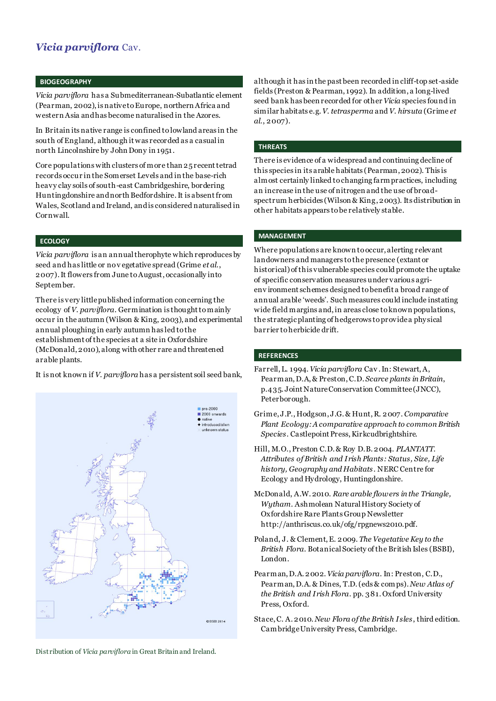## *Vicia parviflora* Cav.

## **BIOGEOGRAPHY**

*Vicia parviflora* has a Submediterranean-Subatlantic element (Pearman, 2002), is native to Europe, northern Africa and western Asia and has become naturalised in the Azores.

In Britain its native range is confined to lowland areas in the south of England, although it was recorded as a casual in north Lincolnshire by John Dony in 1951 .

Core populations with clusters of more than 25 recent tetrad records occur in the Somerset Levels and in the base-rich heavy clay soils of south-east Cambridgeshire, bordering Huntingdonshire and north Bedfordshire.It is absent from Wales, Scotland and Ireland, and is considered naturalised in Cornwall.

## **ECOLOGY**

*Vicia parviflora* is an annual therophyte which reproduces by seed and has little or no v egetative spread (Grime *et al*., 2007). It flowers from June to August, occasionally into September.

There is very little published information concerning the ecology of *V. parviflora*. Germination is thought to mainly occur in the autumn (Wilson & King, 2003), and experimental annual ploughing in early autumn has led to the establishment of the species at a site in Oxfordshire (McDonald, 2010), along with other rare and threatened arable plants.

It is not known if *V. parviflora* has a persistent soil seed bank,



Distribution of *Vicia parviflora* in Great Britain and Ireland.

although it has in the past been recorded in cliff-top set-aside fields (Preston & Pearman, 1992). In addition, a long-lived seed bank has been recorded for other *Vicia* species found in similar habitats e.g. *V. tetrasperma* and *V. hirsuta* (Grime *et al*., 2007).

#### **THREATS**

There is evidence of a widespread and continuing decline of this species in its arable habitats (Pearman, 2002). This is almost certainly linked to changing farm practices, including an increase in the use of nitrogen and the use of broadspectrum herbicides (Wilson & King, 2003). Its distribution in other habitats appears to be relatively stable.

#### **MANAGEMENT**

Where populations are known to occur, alerting relevant landowners and managers to the presence (extant or historical) of this vulnerable species could promote the uptake of specific conservation measures under various agrienv ironment schemes designed to benefit a broad range of annual arable 'weeds'. Such measures could include instating wide field margins and, in areas close to known populations, the strategic planting of hedgerows to provide a physical barrier to herbicide drift.

#### **REFERENCES**

- Farrell, L. 1994. *Vicia parviflora* Cav . In: Stewart, A, Pearman, D.A, & Preston, C.D. *[Scarce plants in Britain](http://www.brc.ac.uk/plantatlas/index.php?q=content/scarce-plants-britain)*, p.435. Joint Nature Conservation Committee (JNCC), Peterborough.
- Grime, J.P., Hodgson, J.G. & Hunt, R. 2007. *Comparative Plant Ecology: A comparative approach to common British Species*. Castlepoint Press,Kirkcudbrightshire.
- Hill, M.O., Preston C.D. & Roy D.B. 2004. *PLANTATT. Attributes of British and Irish Plants: Status, Size, Life history, Geography and Habitats* . NERC Centre for Ecology and Hydrology, Huntingdonshire.
- McDonald, A.W. 2010. *Rare arable flowers in the Triangle, Wytham*. Ashmolean Natural History Society of Oxfordshire Rare Plants Group Newsletter http://anthriscus.co.uk/ofg/rpgnews2010.pdf.
- Poland, J. & Clement, E. 2009. *The Vegetative Key to the British Flora*. Botanical Society of the British Isles (BSBI), London.
- Pearman, D.A. 2002. *Vicia parviflora*. In: Preston, C.D., Pearman, D.A. & Dines, T.D. (eds & comps). *New Atlas of the British and Irish Flora*. pp. 381. Oxford University Press, Oxford.
- Stace, C. A. 2010. *New Flora of the British Isles*, third edition. Cambridge University Press, Cambridge.